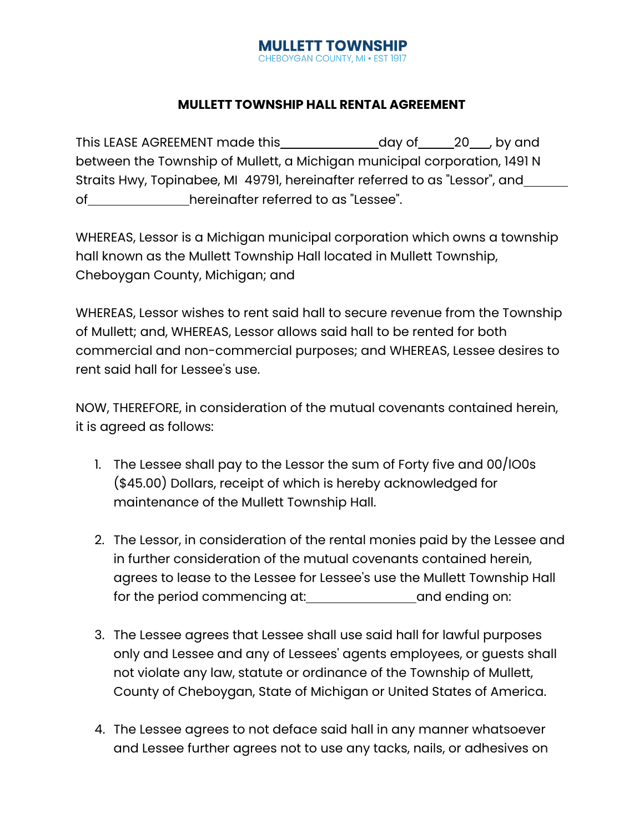### **MULLETT TOWNSHIP** CHEBOYGAN COUNTY, MI . EST 1917

# **MULLETT TOWNSHIP HALL RENTAL AGREEMENT**

This LEASE AGREEMENT made this day of 20 , by and between the Township of Mullett, a Michigan municipal corporation, 1491 N Straits Hwy, Topinabee, MI 49791, hereinafter referred to as "Lessor", and of hereinafter referred to as "Lessee".

WHEREAS, Lessor is a Michigan municipal corporation which owns a township hall known as the Mullett Township Hall located in Mullett Township, Cheboygan County, Michigan; and

WHEREAS, Lessor wishes to rent said hall to secure revenue from the Township of Mullett; and, WHEREAS, Lessor allows said hall to be rented for both commercial and non-commercial purposes; and WHEREAS, Lessee desires to rent said hall for Lessee's use.

NOW, THEREFORE, in consideration of the mutual covenants contained herein, it is agreed as follows:

- 1. The Lessee shall pay to the Lessor the sum of Forty five and 00/lO0s (\$45.00) Dollars, receipt of which is hereby acknowledged for maintenance of the Mullett Township Hall.
- 2. The Lessor, in consideration of the rental monies paid by the Lessee and in further consideration of the mutual covenants contained herein, agrees to lease to the Lessee for Lessee's use the Mullett Township Hall for the period commencing at: and ending on:
- 3. The Lessee agrees that Lessee shall use said hall for lawful purposes only and Lessee and any of Lessees' agents employees, or guests shall not violate any law, statute or ordinance of the Township of Mullett, County of Cheboygan, State of Michigan or United States of America.
- 4. The Lessee agrees to not deface said hall in any manner whatsoever and Lessee further agrees not to use any tacks, nails, or adhesives on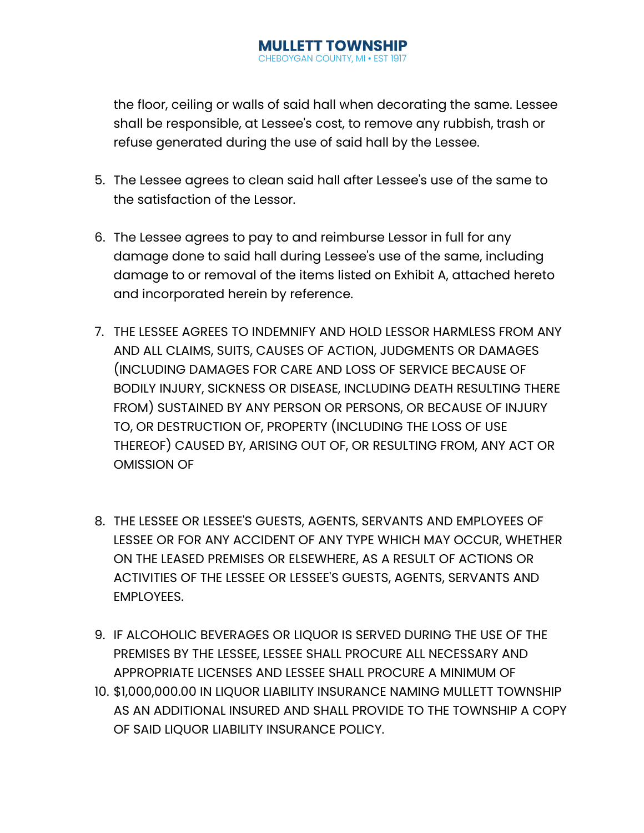### **MULLETT TOWNSHIP** *NGAN COUNTY, MI . ES*

the floor, ceiling or walls of said hall when decorating the same. Lessee shall be responsible, at Lessee's cost, to remove any rubbish, trash or refuse generated during the use of said hall by the Lessee.

- 5. The Lessee agrees to clean said hall after Lessee's use of the same to the satisfaction of the Lessor.
- 6. The Lessee agrees to pay to and reimburse Lessor in full for any damage done to said hall during Lessee's use of the same, including damage to or removal of the items listed on Exhibit A, attached hereto and incorporated herein by reference.
- 7. THE LESSEE AGREES TO INDEMNIFY AND HOLD LESSOR HARMLESS FROM ANY AND ALL CLAIMS, SUITS, CAUSES OF ACTION, JUDGMENTS OR DAMAGES (INCLUDING DAMAGES FOR CARE AND LOSS OF SERVICE BECAUSE OF BODILY INJURY, SICKNESS OR DISEASE, INCLUDING DEATH RESULTING THERE FROM) SUSTAINED BY ANY PERSON OR PERSONS, OR BECAUSE OF INJURY TO, OR DESTRUCTION OF, PROPERTY (INCLUDING THE LOSS OF USE THEREOF) CAUSED BY, ARISING OUT OF, OR RESULTING FROM, ANY ACT OR OMISSION OF
- 8. THE LESSEE OR LESSEE'S GUESTS, AGENTS, SERVANTS AND EMPLOYEES OF LESSEE OR FOR ANY ACCIDENT OF ANY TYPE WHICH MAY OCCUR, WHETHER ON THE LEASED PREMISES OR ELSEWHERE, AS A RESULT OF ACTIONS OR ACTIVITIES OF THE LESSEE OR LESSEE'S GUESTS, AGENTS, SERVANTS AND EMPLOYEES.
- 9. IF ALCOHOLIC BEVERAGES OR LIQUOR IS SERVED DURING THE USE OF THE PREMISES BY THE LESSEE, LESSEE SHALL PROCURE ALL NECESSARY AND APPROPRIATE LICENSES AND LESSEE SHALL PROCURE A MINIMUM OF
- 10. \$1,000,000.00 IN LIQUOR LIABILITY INSURANCE NAMING MULLETT TOWNSHIP AS AN ADDITIONAL INSURED AND SHALL PROVIDE TO THE TOWNSHIP A COPY OF SAID LIQUOR LIABILITY INSURANCE POLICY.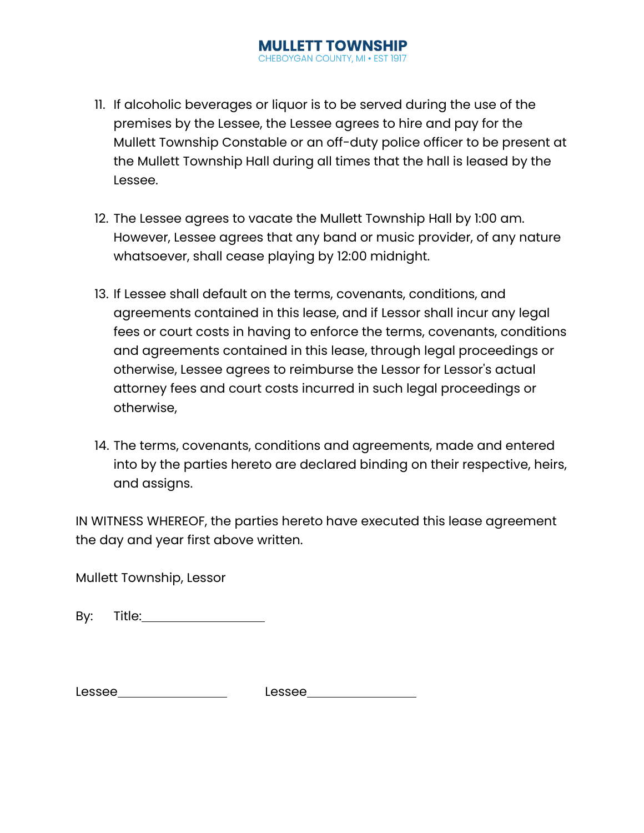## **MULLETT TOWNSHIP** CHEBOYGAN COUNTY, MI . EST 1917

- 11. If alcoholic beverages or liquor is to be served during the use of the premises by the Lessee, the Lessee agrees to hire and pay for the Mullett Township Constable or an off-duty police officer to be present at the Mullett Township Hall during all times that the hall is leased by the Lessee.
- 12. The Lessee agrees to vacate the Mullett Township Hall by 1:00 am. However, Lessee agrees that any band or music provider, of any nature whatsoever, shall cease playing by 12:00 midnight.
- 13. If Lessee shall default on the terms, covenants, conditions, and agreements contained in this lease, and if Lessor shall incur any legal fees or court costs in having to enforce the terms, covenants, conditions and agreements contained in this lease, through legal proceedings or otherwise, Lessee agrees to reimburse the Lessor for Lessor's actual attorney fees and court costs incurred in such legal proceedings or otherwise,
- 14. The terms, covenants, conditions and agreements, made and entered into by the parties hereto are declared binding on their respective, heirs, and assigns.

IN WITNESS WHEREOF, the parties hereto have executed this lease agreement the day and year first above written.

Mullett Township, Lessor

By: Title: when the same of the same of the same of the same of the same of the same of the same of the same o

| Lessee | Lessee |
|--------|--------|
|--------|--------|